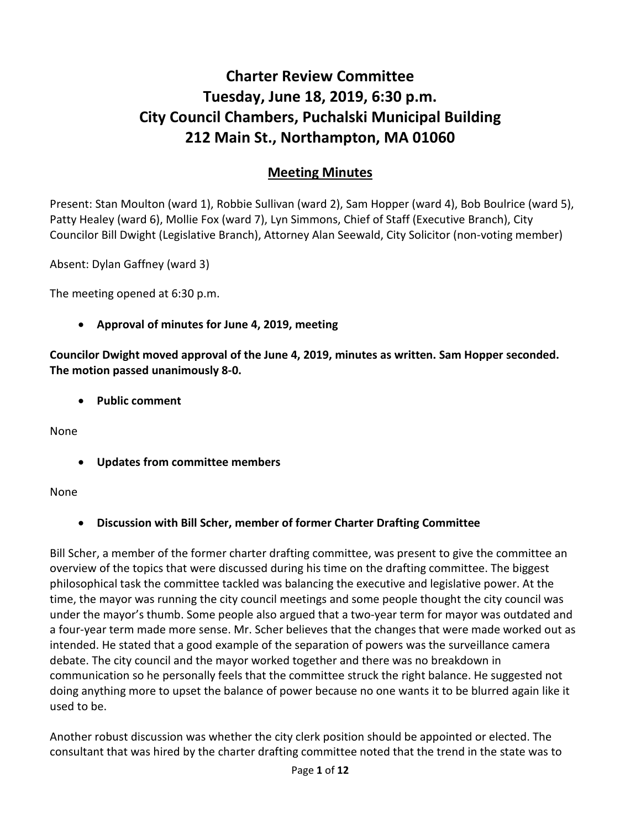# **Charter Review Committee Tuesday, June 18, 2019, 6:30 p.m. City Council Chambers, Puchalski Municipal Building 212 Main St., Northampton, MA 01060**

## **Meeting Minutes**

Present: Stan Moulton (ward 1), Robbie Sullivan (ward 2), Sam Hopper (ward 4), Bob Boulrice (ward 5), Patty Healey (ward 6), Mollie Fox (ward 7), Lyn Simmons, Chief of Staff (Executive Branch), City Councilor Bill Dwight (Legislative Branch), Attorney Alan Seewald, City Solicitor (non-voting member)

Absent: Dylan Gaffney (ward 3)

The meeting opened at 6:30 p.m.

• **Approval of minutes for June 4, 2019, meeting**

**Councilor Dwight moved approval of the June 4, 2019, minutes as written. Sam Hopper seconded. The motion passed unanimously 8-0.** 

• **Public comment**

None

• **Updates from committee members**

#### None

• **Discussion with Bill Scher, member of former Charter Drafting Committee**

Bill Scher, a member of the former charter drafting committee, was present to give the committee an overview of the topics that were discussed during his time on the drafting committee. The biggest philosophical task the committee tackled was balancing the executive and legislative power. At the time, the mayor was running the city council meetings and some people thought the city council was under the mayor's thumb. Some people also argued that a two-year term for mayor was outdated and a four-year term made more sense. Mr. Scher believes that the changes that were made worked out as intended. He stated that a good example of the separation of powers was the surveillance camera debate. The city council and the mayor worked together and there was no breakdown in communication so he personally feels that the committee struck the right balance. He suggested not doing anything more to upset the balance of power because no one wants it to be blurred again like it used to be.

Another robust discussion was whether the city clerk position should be appointed or elected. The consultant that was hired by the charter drafting committee noted that the trend in the state was to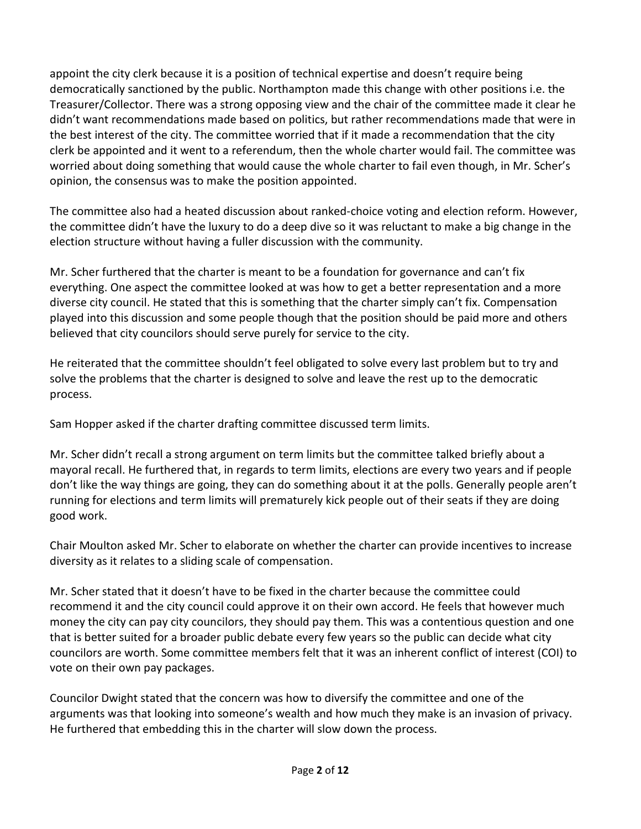appoint the city clerk because it is a position of technical expertise and doesn't require being democratically sanctioned by the public. Northampton made this change with other positions i.e. the Treasurer/Collector. There was a strong opposing view and the chair of the committee made it clear he didn't want recommendations made based on politics, but rather recommendations made that were in the best interest of the city. The committee worried that if it made a recommendation that the city clerk be appointed and it went to a referendum, then the whole charter would fail. The committee was worried about doing something that would cause the whole charter to fail even though, in Mr. Scher's opinion, the consensus was to make the position appointed.

The committee also had a heated discussion about ranked-choice voting and election reform. However, the committee didn't have the luxury to do a deep dive so it was reluctant to make a big change in the election structure without having a fuller discussion with the community.

Mr. Scher furthered that the charter is meant to be a foundation for governance and can't fix everything. One aspect the committee looked at was how to get a better representation and a more diverse city council. He stated that this is something that the charter simply can't fix. Compensation played into this discussion and some people though that the position should be paid more and others believed that city councilors should serve purely for service to the city.

He reiterated that the committee shouldn't feel obligated to solve every last problem but to try and solve the problems that the charter is designed to solve and leave the rest up to the democratic process.

Sam Hopper asked if the charter drafting committee discussed term limits.

Mr. Scher didn't recall a strong argument on term limits but the committee talked briefly about a mayoral recall. He furthered that, in regards to term limits, elections are every two years and if people don't like the way things are going, they can do something about it at the polls. Generally people aren't running for elections and term limits will prematurely kick people out of their seats if they are doing good work.

Chair Moulton asked Mr. Scher to elaborate on whether the charter can provide incentives to increase diversity as it relates to a sliding scale of compensation.

Mr. Scher stated that it doesn't have to be fixed in the charter because the committee could recommend it and the city council could approve it on their own accord. He feels that however much money the city can pay city councilors, they should pay them. This was a contentious question and one that is better suited for a broader public debate every few years so the public can decide what city councilors are worth. Some committee members felt that it was an inherent conflict of interest (COI) to vote on their own pay packages.

Councilor Dwight stated that the concern was how to diversify the committee and one of the arguments was that looking into someone's wealth and how much they make is an invasion of privacy. He furthered that embedding this in the charter will slow down the process.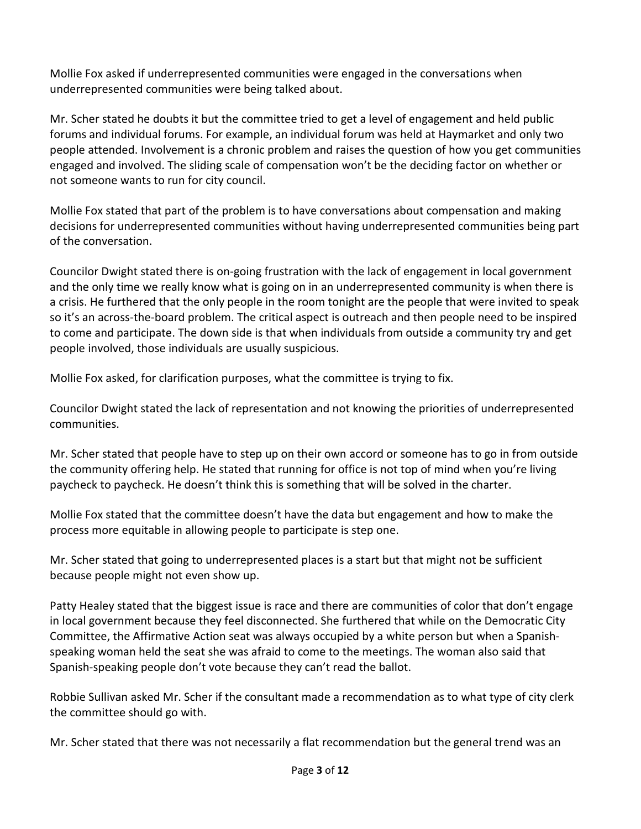Mollie Fox asked if underrepresented communities were engaged in the conversations when underrepresented communities were being talked about.

Mr. Scher stated he doubts it but the committee tried to get a level of engagement and held public forums and individual forums. For example, an individual forum was held at Haymarket and only two people attended. Involvement is a chronic problem and raises the question of how you get communities engaged and involved. The sliding scale of compensation won't be the deciding factor on whether or not someone wants to run for city council.

Mollie Fox stated that part of the problem is to have conversations about compensation and making decisions for underrepresented communities without having underrepresented communities being part of the conversation.

Councilor Dwight stated there is on-going frustration with the lack of engagement in local government and the only time we really know what is going on in an underrepresented community is when there is a crisis. He furthered that the only people in the room tonight are the people that were invited to speak so it's an across-the-board problem. The critical aspect is outreach and then people need to be inspired to come and participate. The down side is that when individuals from outside a community try and get people involved, those individuals are usually suspicious.

Mollie Fox asked, for clarification purposes, what the committee is trying to fix.

Councilor Dwight stated the lack of representation and not knowing the priorities of underrepresented communities.

Mr. Scher stated that people have to step up on their own accord or someone has to go in from outside the community offering help. He stated that running for office is not top of mind when you're living paycheck to paycheck. He doesn't think this is something that will be solved in the charter.

Mollie Fox stated that the committee doesn't have the data but engagement and how to make the process more equitable in allowing people to participate is step one.

Mr. Scher stated that going to underrepresented places is a start but that might not be sufficient because people might not even show up.

Patty Healey stated that the biggest issue is race and there are communities of color that don't engage in local government because they feel disconnected. She furthered that while on the Democratic City Committee, the Affirmative Action seat was always occupied by a white person but when a Spanishspeaking woman held the seat she was afraid to come to the meetings. The woman also said that Spanish-speaking people don't vote because they can't read the ballot.

Robbie Sullivan asked Mr. Scher if the consultant made a recommendation as to what type of city clerk the committee should go with.

Mr. Scher stated that there was not necessarily a flat recommendation but the general trend was an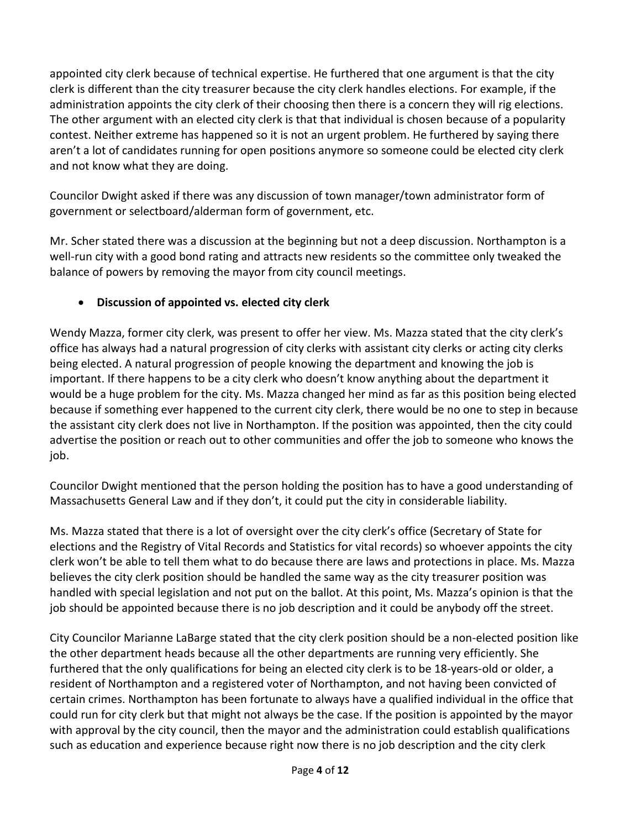appointed city clerk because of technical expertise. He furthered that one argument is that the city clerk is different than the city treasurer because the city clerk handles elections. For example, if the administration appoints the city clerk of their choosing then there is a concern they will rig elections. The other argument with an elected city clerk is that that individual is chosen because of a popularity contest. Neither extreme has happened so it is not an urgent problem. He furthered by saying there aren't a lot of candidates running for open positions anymore so someone could be elected city clerk and not know what they are doing.

Councilor Dwight asked if there was any discussion of town manager/town administrator form of government or selectboard/alderman form of government, etc.

Mr. Scher stated there was a discussion at the beginning but not a deep discussion. Northampton is a well-run city with a good bond rating and attracts new residents so the committee only tweaked the balance of powers by removing the mayor from city council meetings.

## • **Discussion of appointed vs. elected city clerk**

Wendy Mazza, former city clerk, was present to offer her view. Ms. Mazza stated that the city clerk's office has always had a natural progression of city clerks with assistant city clerks or acting city clerks being elected. A natural progression of people knowing the department and knowing the job is important. If there happens to be a city clerk who doesn't know anything about the department it would be a huge problem for the city. Ms. Mazza changed her mind as far as this position being elected because if something ever happened to the current city clerk, there would be no one to step in because the assistant city clerk does not live in Northampton. If the position was appointed, then the city could advertise the position or reach out to other communities and offer the job to someone who knows the job.

Councilor Dwight mentioned that the person holding the position has to have a good understanding of Massachusetts General Law and if they don't, it could put the city in considerable liability.

Ms. Mazza stated that there is a lot of oversight over the city clerk's office (Secretary of State for elections and the Registry of Vital Records and Statistics for vital records) so whoever appoints the city clerk won't be able to tell them what to do because there are laws and protections in place. Ms. Mazza believes the city clerk position should be handled the same way as the city treasurer position was handled with special legislation and not put on the ballot. At this point, Ms. Mazza's opinion is that the job should be appointed because there is no job description and it could be anybody off the street.

City Councilor Marianne LaBarge stated that the city clerk position should be a non-elected position like the other department heads because all the other departments are running very efficiently. She furthered that the only qualifications for being an elected city clerk is to be 18-years-old or older, a resident of Northampton and a registered voter of Northampton, and not having been convicted of certain crimes. Northampton has been fortunate to always have a qualified individual in the office that could run for city clerk but that might not always be the case. If the position is appointed by the mayor with approval by the city council, then the mayor and the administration could establish qualifications such as education and experience because right now there is no job description and the city clerk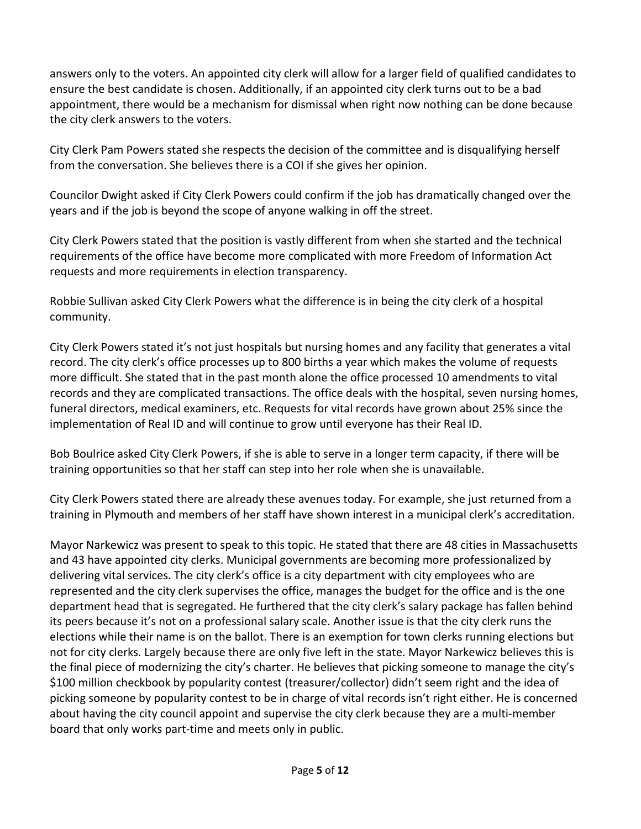answers only to the voters. An appointed city clerk will allow for a larger field of qualified candidates to ensure the best candidate is chosen. Additionally, if an appointed city clerk turns out to be a bad appointment, there would be a mechanism for dismissal when right now nothing can be done because the city clerk answers to the voters.

City Clerk Pam Powers stated she respects the decision of the committee and is disqualifying herself from the conversation. She believes there is a COI if she gives her opinion.

Councilor Dwight asked if City Clerk Powers could confirm if the job has dramatically changed over the years and if the job is beyond the scope of anyone walking in off the street.

City Clerk Powers stated that the position is vastly different from when she started and the technical requirements of the office have become more complicated with more Freedom of Information Act requests and more requirements in election transparency.

Robbie Sullivan asked City Clerk Powers what the difference is in being the city clerk of a hospital community.

City Clerk Powers stated it's not just hospitals but nursing homes and any facility that generates a vital record. The city clerk's office processes up to 800 births a year which makes the volume of requests more difficult. She stated that in the past month alone the office processed 10 amendments to vital records and they are complicated transactions. The office deals with the hospital, seven nursing homes, funeral directors, medical examiners, etc. Requests for vital records have grown about 25% since the implementation of Real ID and will continue to grow until everyone has their Real ID.

Bob Boulrice asked City Clerk Powers, if she is able to serve in a longer term capacity, if there will be training opportunities so that her staff can step into her role when she is unavailable.

City Clerk Powers stated there are already these avenues today. For example, she just returned from a training in Plymouth and members of her staff have shown interest in a municipal clerk's accreditation.

Mayor Narkewicz was present to speak to this topic. He stated that there are 48 cities in Massachusetts and 43 have appointed city clerks. Municipal governments are becoming more professionalized by delivering vital services. The city clerk's office is a city department with city employees who are represented and the city clerk supervises the office, manages the budget for the office and is the one department head that is segregated. He furthered that the city clerk's salary package has fallen behind its peers because it's not on a professional salary scale. Another issue is that the city clerk runs the elections while their name is on the ballot. There is an exemption for town clerks running elections but not for city clerks. Largely because there are only five left in the state. Mayor Narkewicz believes this is the final piece of modernizing the city's charter. He believes that picking someone to manage the city's \$100 million checkbook by popularity contest (treasurer/collector) didn't seem right and the idea of picking someone by popularity contest to be in charge of vital records isn't right either. He is concerned about having the city council appoint and supervise the city clerk because they are a multi-member board that only works part-time and meets only in public.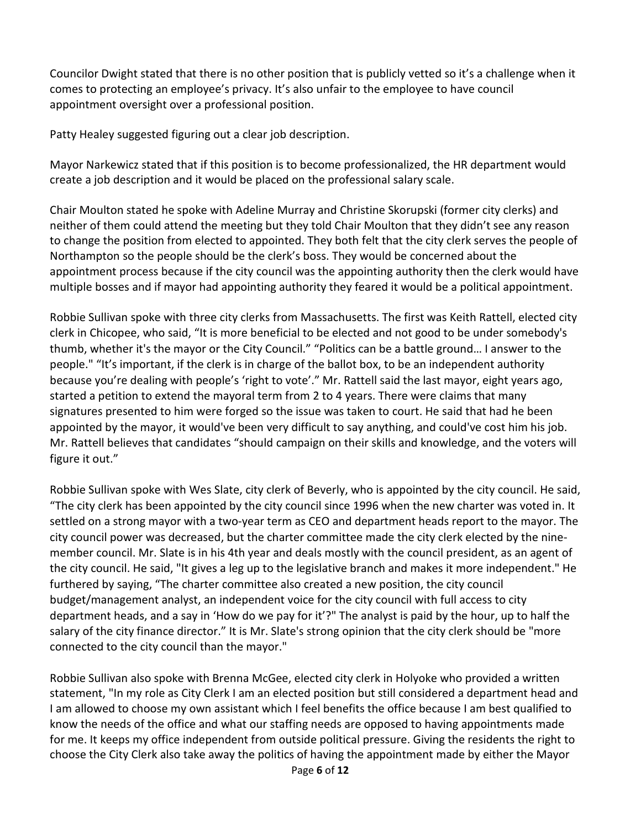Councilor Dwight stated that there is no other position that is publicly vetted so it's a challenge when it comes to protecting an employee's privacy. It's also unfair to the employee to have council appointment oversight over a professional position.

Patty Healey suggested figuring out a clear job description.

Mayor Narkewicz stated that if this position is to become professionalized, the HR department would create a job description and it would be placed on the professional salary scale.

Chair Moulton stated he spoke with Adeline Murray and Christine Skorupski (former city clerks) and neither of them could attend the meeting but they told Chair Moulton that they didn't see any reason to change the position from elected to appointed. They both felt that the city clerk serves the people of Northampton so the people should be the clerk's boss. They would be concerned about the appointment process because if the city council was the appointing authority then the clerk would have multiple bosses and if mayor had appointing authority they feared it would be a political appointment.

Robbie Sullivan spoke with three city clerks from Massachusetts. The first was Keith Rattell, elected city clerk in Chicopee, who said, "It is more beneficial to be elected and not good to be under somebody's thumb, whether it's the mayor or the City Council." "Politics can be a battle ground… I answer to the people." "It's important, if the clerk is in charge of the ballot box, to be an independent authority because you're dealing with people's 'right to vote'." Mr. Rattell said the last mayor, eight years ago, started a petition to extend the mayoral term from 2 to 4 years. There were claims that many signatures presented to him were forged so the issue was taken to court. He said that had he been appointed by the mayor, it would've been very difficult to say anything, and could've cost him his job. Mr. Rattell believes that candidates "should campaign on their skills and knowledge, and the voters will figure it out."

Robbie Sullivan spoke with Wes Slate, city clerk of Beverly, who is appointed by the city council. He said, "The city clerk has been appointed by the city council since 1996 when the new charter was voted in. It settled on a strong mayor with a two-year term as CEO and department heads report to the mayor. The city council power was decreased, but the charter committee made the city clerk elected by the ninemember council. Mr. Slate is in his 4th year and deals mostly with the council president, as an agent of the city council. He said, "It gives a leg up to the legislative branch and makes it more independent." He furthered by saying, "The charter committee also created a new position, the city council budget/management analyst, an independent voice for the city council with full access to city department heads, and a say in 'How do we pay for it'?" The analyst is paid by the hour, up to half the salary of the city finance director." It is Mr. Slate's strong opinion that the city clerk should be "more connected to the city council than the mayor."

Robbie Sullivan also spoke with Brenna McGee, elected city clerk in Holyoke who provided a written statement, "In my role as City Clerk I am an elected position but still considered a department head and I am allowed to choose my own assistant which I feel benefits the office because I am best qualified to know the needs of the office and what our staffing needs are opposed to having appointments made for me. It keeps my office independent from outside political pressure. Giving the residents the right to choose the City Clerk also take away the politics of having the appointment made by either the Mayor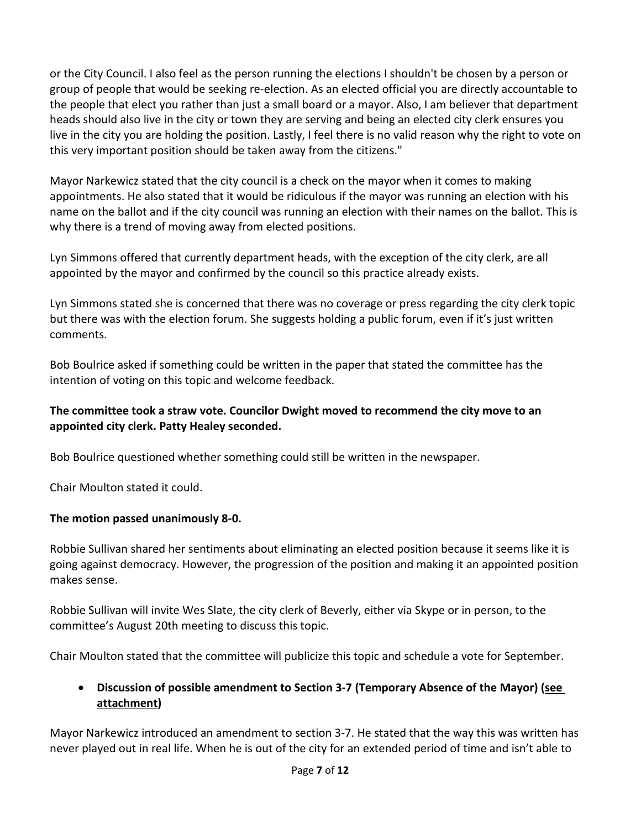or the City Council. I also feel as the person running the elections I shouldn't be chosen by a person or group of people that would be seeking re-election. As an elected official you are directly accountable to the people that elect you rather than just a small board or a mayor. Also, I am believer that department heads should also live in the city or town they are serving and being an elected city clerk ensures you live in the city you are holding the position. Lastly, I feel there is no valid reason why the right to vote on this very important position should be taken away from the citizens."

Mayor Narkewicz stated that the city council is a check on the mayor when it comes to making appointments. He also stated that it would be ridiculous if the mayor was running an election with his name on the ballot and if the city council was running an election with their names on the ballot. This is why there is a trend of moving away from elected positions.

Lyn Simmons offered that currently department heads, with the exception of the city clerk, are all appointed by the mayor and confirmed by the council so this practice already exists.

Lyn Simmons stated she is concerned that there was no coverage or press regarding the city clerk topic but there was with the election forum. She suggests holding a public forum, even if it's just written comments.

Bob Boulrice asked if something could be written in the paper that stated the committee has the intention of voting on this topic and welcome feedback.

#### **The committee took a straw vote. Councilor Dwight moved to recommend the city move to an appointed city clerk. Patty Healey seconded.**

Bob Boulrice questioned whether something could still be written in the newspaper.

Chair Moulton stated it could.

## **The motion passed unanimously 8-0.**

Robbie Sullivan shared her sentiments about eliminating an elected position because it seems like it is going against democracy. However, the progression of the position and making it an appointed position makes sense.

Robbie Sullivan will invite Wes Slate, the city clerk of Beverly, either via Skype or in person, to the committee's August 20th meeting to discuss this topic.

Chair Moulton stated that the committee will publicize this topic and schedule a vote for September.

## • **Discussion of possible amendment to Section 3-7 (Temporary Absence of the Mayor) (see attachment)**

Mayor Narkewicz introduced an amendment to section 3-7. He stated that the way this was written has never played out in real life. When he is out of the city for an extended period of time and isn't able to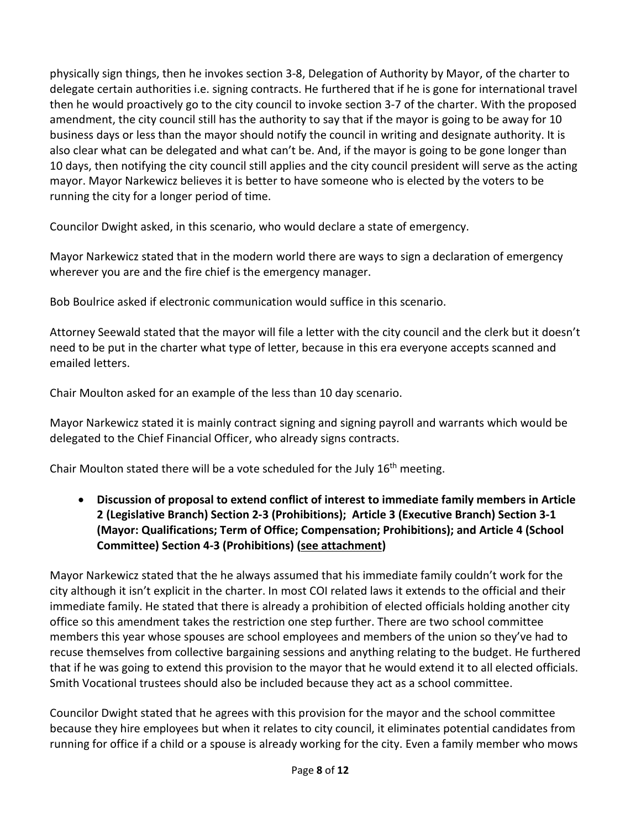physically sign things, then he invokes section 3-8, Delegation of Authority by Mayor, of the charter to delegate certain authorities i.e. signing contracts. He furthered that if he is gone for international travel then he would proactively go to the city council to invoke section 3-7 of the charter. With the proposed amendment, the city council still has the authority to say that if the mayor is going to be away for 10 business days or less than the mayor should notify the council in writing and designate authority. It is also clear what can be delegated and what can't be. And, if the mayor is going to be gone longer than 10 days, then notifying the city council still applies and the city council president will serve as the acting mayor. Mayor Narkewicz believes it is better to have someone who is elected by the voters to be running the city for a longer period of time.

Councilor Dwight asked, in this scenario, who would declare a state of emergency.

Mayor Narkewicz stated that in the modern world there are ways to sign a declaration of emergency wherever you are and the fire chief is the emergency manager.

Bob Boulrice asked if electronic communication would suffice in this scenario.

Attorney Seewald stated that the mayor will file a letter with the city council and the clerk but it doesn't need to be put in the charter what type of letter, because in this era everyone accepts scanned and emailed letters.

Chair Moulton asked for an example of the less than 10 day scenario.

Mayor Narkewicz stated it is mainly contract signing and signing payroll and warrants which would be delegated to the Chief Financial Officer, who already signs contracts.

Chair Moulton stated there will be a vote scheduled for the July 16th meeting.

• **Discussion of proposal to extend conflict of interest to immediate family members in Article 2 (Legislative Branch) Section 2-3 (Prohibitions); Article 3 (Executive Branch) Section 3-1 (Mayor: Qualifications; Term of Office; Compensation; Prohibitions); and Article 4 (School Committee) Section 4-3 (Prohibitions) (see attachment)** 

Mayor Narkewicz stated that the he always assumed that his immediate family couldn't work for the city although it isn't explicit in the charter. In most COI related laws it extends to the official and their immediate family. He stated that there is already a prohibition of elected officials holding another city office so this amendment takes the restriction one step further. There are two school committee members this year whose spouses are school employees and members of the union so they've had to recuse themselves from collective bargaining sessions and anything relating to the budget. He furthered that if he was going to extend this provision to the mayor that he would extend it to all elected officials. Smith Vocational trustees should also be included because they act as a school committee.

Councilor Dwight stated that he agrees with this provision for the mayor and the school committee because they hire employees but when it relates to city council, it eliminates potential candidates from running for office if a child or a spouse is already working for the city. Even a family member who mows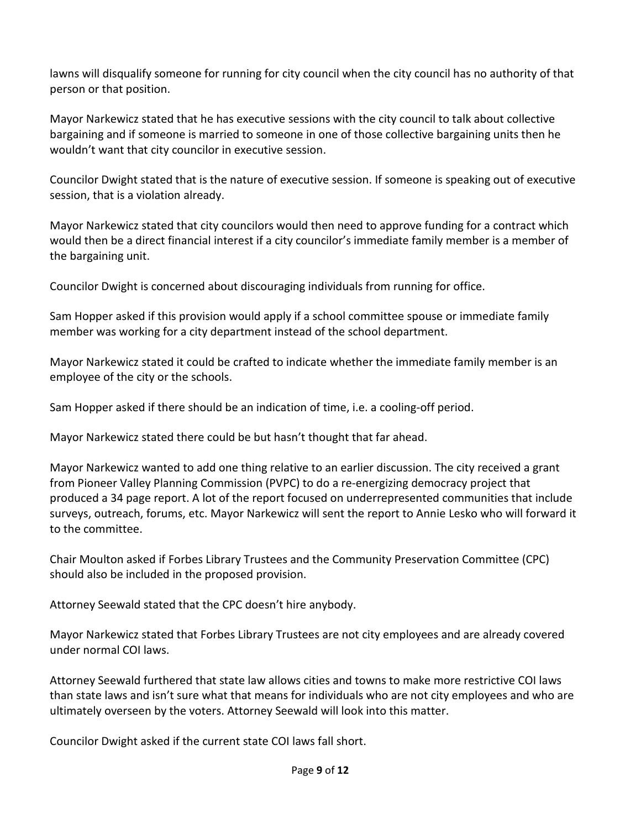lawns will disqualify someone for running for city council when the city council has no authority of that person or that position.

Mayor Narkewicz stated that he has executive sessions with the city council to talk about collective bargaining and if someone is married to someone in one of those collective bargaining units then he wouldn't want that city councilor in executive session.

Councilor Dwight stated that is the nature of executive session. If someone is speaking out of executive session, that is a violation already.

Mayor Narkewicz stated that city councilors would then need to approve funding for a contract which would then be a direct financial interest if a city councilor's immediate family member is a member of the bargaining unit.

Councilor Dwight is concerned about discouraging individuals from running for office.

Sam Hopper asked if this provision would apply if a school committee spouse or immediate family member was working for a city department instead of the school department.

Mayor Narkewicz stated it could be crafted to indicate whether the immediate family member is an employee of the city or the schools.

Sam Hopper asked if there should be an indication of time, i.e. a cooling-off period.

Mayor Narkewicz stated there could be but hasn't thought that far ahead.

Mayor Narkewicz wanted to add one thing relative to an earlier discussion. The city received a grant from Pioneer Valley Planning Commission (PVPC) to do a re-energizing democracy project that produced a 34 page report. A lot of the report focused on underrepresented communities that include surveys, outreach, forums, etc. Mayor Narkewicz will sent the report to Annie Lesko who will forward it to the committee.

Chair Moulton asked if Forbes Library Trustees and the Community Preservation Committee (CPC) should also be included in the proposed provision.

Attorney Seewald stated that the CPC doesn't hire anybody.

Mayor Narkewicz stated that Forbes Library Trustees are not city employees and are already covered under normal COI laws.

Attorney Seewald furthered that state law allows cities and towns to make more restrictive COI laws than state laws and isn't sure what that means for individuals who are not city employees and who are ultimately overseen by the voters. Attorney Seewald will look into this matter.

Councilor Dwight asked if the current state COI laws fall short.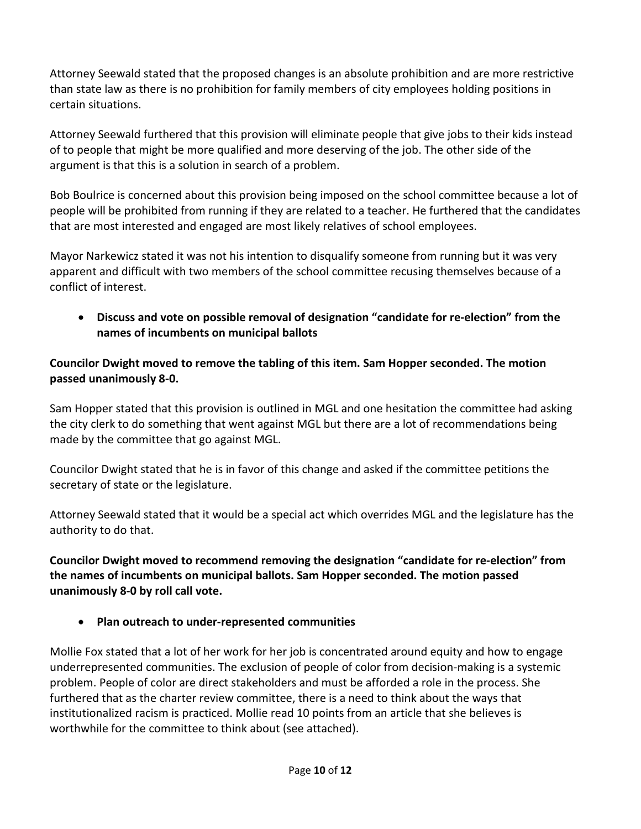Attorney Seewald stated that the proposed changes is an absolute prohibition and are more restrictive than state law as there is no prohibition for family members of city employees holding positions in certain situations.

Attorney Seewald furthered that this provision will eliminate people that give jobs to their kids instead of to people that might be more qualified and more deserving of the job. The other side of the argument is that this is a solution in search of a problem.

Bob Boulrice is concerned about this provision being imposed on the school committee because a lot of people will be prohibited from running if they are related to a teacher. He furthered that the candidates that are most interested and engaged are most likely relatives of school employees.

Mayor Narkewicz stated it was not his intention to disqualify someone from running but it was very apparent and difficult with two members of the school committee recusing themselves because of a conflict of interest.

• **Discuss and vote on possible removal of designation "candidate for re-election" from the names of incumbents on municipal ballots** 

## **Councilor Dwight moved to remove the tabling of this item. Sam Hopper seconded. The motion passed unanimously 8-0.**

Sam Hopper stated that this provision is outlined in MGL and one hesitation the committee had asking the city clerk to do something that went against MGL but there are a lot of recommendations being made by the committee that go against MGL.

Councilor Dwight stated that he is in favor of this change and asked if the committee petitions the secretary of state or the legislature.

Attorney Seewald stated that it would be a special act which overrides MGL and the legislature has the authority to do that.

**Councilor Dwight moved to recommend removing the designation "candidate for re-election" from the names of incumbents on municipal ballots. Sam Hopper seconded. The motion passed unanimously 8-0 by roll call vote.**

• **Plan outreach to under-represented communities**

Mollie Fox stated that a lot of her work for her job is concentrated around equity and how to engage underrepresented communities. The exclusion of people of color from decision-making is a systemic problem. People of color are direct stakeholders and must be afforded a role in the process. She furthered that as the charter review committee, there is a need to think about the ways that institutionalized racism is practiced. Mollie read 10 points from an article that she believes is worthwhile for the committee to think about (see attached).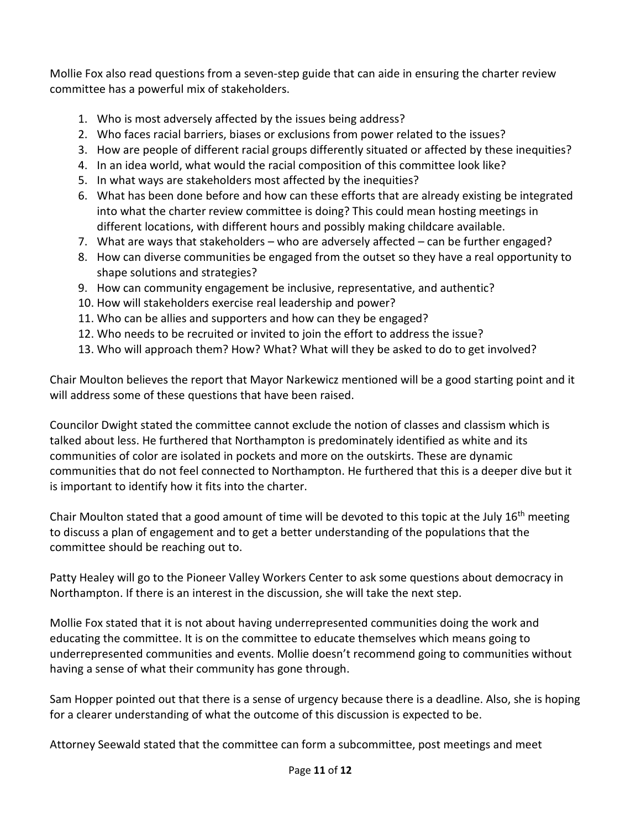Mollie Fox also read questions from a seven-step guide that can aide in ensuring the charter review committee has a powerful mix of stakeholders.

- 1. Who is most adversely affected by the issues being address?
- 2. Who faces racial barriers, biases or exclusions from power related to the issues?
- 3. How are people of different racial groups differently situated or affected by these inequities?
- 4. In an idea world, what would the racial composition of this committee look like?
- 5. In what ways are stakeholders most affected by the inequities?
- 6. What has been done before and how can these efforts that are already existing be integrated into what the charter review committee is doing? This could mean hosting meetings in different locations, with different hours and possibly making childcare available.
- 7. What are ways that stakeholders who are adversely affected can be further engaged?
- 8. How can diverse communities be engaged from the outset so they have a real opportunity to shape solutions and strategies?
- 9. How can community engagement be inclusive, representative, and authentic?
- 10. How will stakeholders exercise real leadership and power?
- 11. Who can be allies and supporters and how can they be engaged?
- 12. Who needs to be recruited or invited to join the effort to address the issue?
- 13. Who will approach them? How? What? What will they be asked to do to get involved?

Chair Moulton believes the report that Mayor Narkewicz mentioned will be a good starting point and it will address some of these questions that have been raised.

Councilor Dwight stated the committee cannot exclude the notion of classes and classism which is talked about less. He furthered that Northampton is predominately identified as white and its communities of color are isolated in pockets and more on the outskirts. These are dynamic communities that do not feel connected to Northampton. He furthered that this is a deeper dive but it is important to identify how it fits into the charter.

Chair Moulton stated that a good amount of time will be devoted to this topic at the July 16<sup>th</sup> meeting to discuss a plan of engagement and to get a better understanding of the populations that the committee should be reaching out to.

Patty Healey will go to the Pioneer Valley Workers Center to ask some questions about democracy in Northampton. If there is an interest in the discussion, she will take the next step.

Mollie Fox stated that it is not about having underrepresented communities doing the work and educating the committee. It is on the committee to educate themselves which means going to underrepresented communities and events. Mollie doesn't recommend going to communities without having a sense of what their community has gone through.

Sam Hopper pointed out that there is a sense of urgency because there is a deadline. Also, she is hoping for a clearer understanding of what the outcome of this discussion is expected to be.

Attorney Seewald stated that the committee can form a subcommittee, post meetings and meet